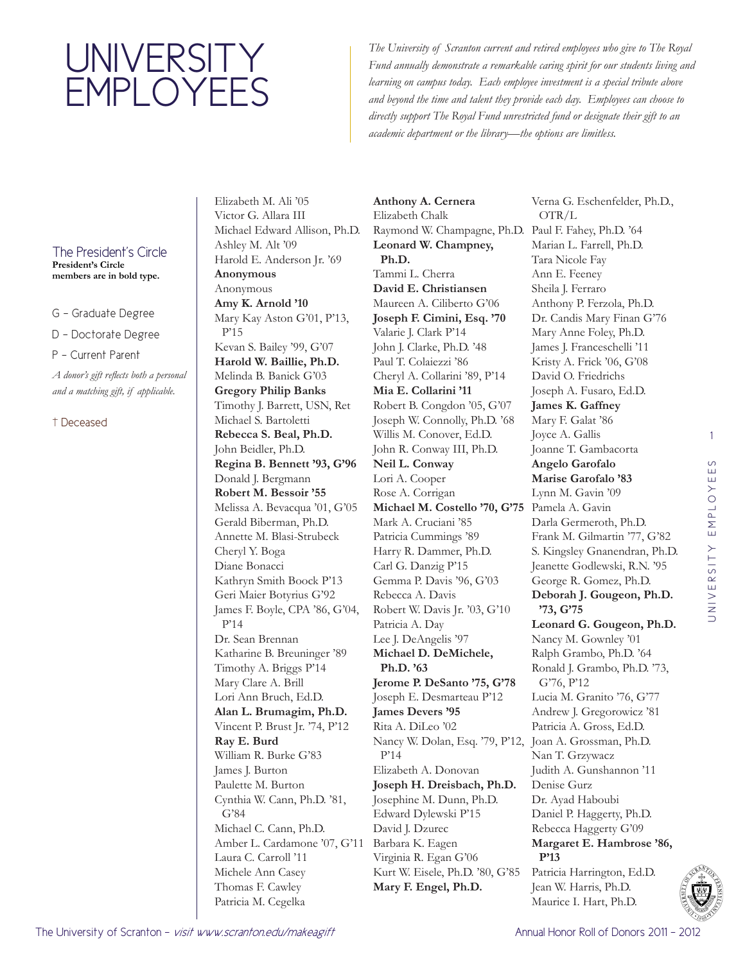## UNIVERSITY EMPLOYEES

*The University of Scranton current and retired employees who give to The Royal Fund annually demonstrate a remarkable caring spirit for our students living and learning on campus today. Each employee investment is a special tribute above and beyond the time and talent they provide each day. Employees can choose to directly support The Royal Fund unrestricted fund or designate their gift to an academic department or the library—the options are limitless.*

## The President's Circle

**President's Circle members are in bold type.**

- G Graduate Degree
- D Doctorate Degree
- P Current Parent

*A donor's gift reflects both a personal and a matching gift, if applicable.* 

## † Deceased

Elizabeth M. Ali '05 Victor G. Allara III Michael Edward Allison, Ph.D. Ashley M. Alt '09 Harold E. Anderson Jr. '69 **Anonymous** Anonymous **Amy K. Arnold '10** Mary Kay Aston G'01, P'13, P'15 Kevan S. Bailey '99, G'07 **Harold W. Baillie, Ph.D.**  Melinda B. Banick G'03 **Gregory Philip Banks** Timothy J. Barrett, USN, Ret Michael S. Bartoletti **Rebecca S. Beal, Ph.D.**  John Beidler, Ph.D. **Regina B. Bennett '93, G'96** Donald J. Bergmann **Robert M. Bessoir '55** Melissa A. Bevacqua '01, G'05 Gerald Biberman, Ph.D. Annette M. Blasi-Strubeck Cheryl Y. Boga Diane Bonacci Kathryn Smith Boock P'13 Geri Maier Botyrius G'92 James F. Boyle, CPA '86, G'04, P'14 Dr. Sean Brennan Katharine B. Breuninger '89 Timothy A. Briggs P'14 Mary Clare A. Brill Lori Ann Bruch, Ed.D. **Alan L. Brumagim, Ph.D.**  Vincent P. Brust Jr. '74, P'12 **Ray E. Burd**  William R. Burke G'83 James J. Burton Paulette M. Burton Cynthia W. Cann, Ph.D. '81, G'84 Michael C. Cann, Ph.D. Amber L. Cardamone '07, G'11 Laura C. Carroll '11 Michele Ann Casey Thomas F. Cawley Patricia M. Cegelka

**Anthony A. Cernera**  Elizabeth Chalk Raymond W. Champagne, Ph.D. Paul F. Fahey, Ph.D. '64 **Leonard W. Champney, Ph.D.**  Tammi L. Cherra **David E. Christiansen**  Maureen A. Ciliberto G'06 **Joseph F. Cimini, Esq. '70** Valarie J. Clark P'14 John J. Clarke, Ph.D. '48 Paul T. Colaiezzi '86 Cheryl A. Collarini '89, P'14 **Mia E. Collarini '11** Robert B. Congdon '05, G'07 Joseph W. Connolly, Ph.D. '68 Willis M. Conover, Ed.D. John R. Conway III, Ph.D. **Neil L. Conway**  Lori A. Cooper Rose A. Corrigan **Michael M. Costello '70, G'75** Pamela A. Gavin Mark A. Cruciani '85 Patricia Cummings '89 Harry R. Dammer, Ph.D. Carl G. Danzig P'15 Gemma P. Davis '96, G'03 Rebecca A. Davis Robert W. Davis Jr. '03, G'10 Patricia A. Day Lee J. DeAngelis '97 **Michael D. DeMichele, Ph.D. '63 Jerome P. DeSanto '75, G'78** Joseph E. Desmarteau P'12 **James Devers '95** Rita A. DiLeo '02 Nancy W. Dolan, Esq. '79, P'12, Joan A. Grossman, Ph.D. P'14 Elizabeth A. Donovan **Joseph H. Dreisbach, Ph.D.**  Josephine M. Dunn, Ph.D. Edward Dylewski P'15 David J. Dzurec Barbara K. Eagen Virginia R. Egan G'06 Kurt W. Eisele, Ph.D. '80, G'85 **Mary F. Engel, Ph.D.** 

Verna G. Eschenfelder, Ph.D., OTR/L Marian L. Farrell, Ph.D. Tara Nicole Fay Ann E. Feeney Sheila J. Ferraro Anthony P. Ferzola, Ph.D. Dr. Candis Mary Finan G'76 Mary Anne Foley, Ph.D. James J. Franceschelli '11 Kristy A. Frick '06, G'08 David O. Friedrichs Joseph A. Fusaro, Ed.D. **James K. Gaffney**  Mary F. Galat '86 Joyce A. Gallis Joanne T. Gambacorta **Angelo Garofalo Marise Garofalo '83** Lynn M. Gavin '09 Darla Germeroth, Ph.D. Frank M. Gilmartin '77, G'82 S. Kingsley Gnanendran, Ph.D. Jeanette Godlewski, R.N. '95 George R. Gomez, Ph.D. **Deborah J. Gougeon, Ph.D. '73, G'75 Leonard G. Gougeon, Ph.D.**  Nancy M. Gownley '01 Ralph Grambo, Ph.D. '64 Ronald J. Grambo, Ph.D. '73, G'76, P'12 Lucia M. Granito '76, G'77 Andrew J. Gregorowicz '81 Patricia A. Gross, Ed.D. Nan T. Grzywacz Judith A. Gunshannon '11 Denise Gurz Dr. Ayad Haboubi Daniel P. Haggerty, Ph.D. Rebecca Haggerty G'09 **Margaret E. Hambrose '86, P'13**

Patricia Harrington, Ed.D. Jean W. Harris, Ph.D. Maurice I. Hart, Ph.D.

1